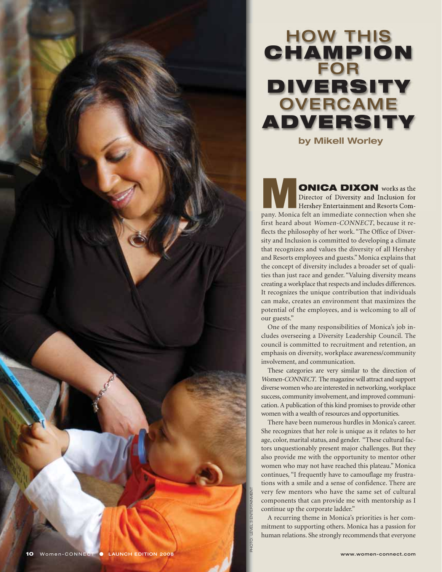

**MONICA DIXON** works as the Director of Diversity and Inclusion for Hershey Entertainment and Resorts Company Monica felt an immediate connection when she Director of Diversity and Inclusion for Hershey Entertainment and Resorts Company. Monica felt an immediate connection when she first heard about Women-CONNECT, because it reflects the philosophy of her work. "The Office of Diversity and Inclusion is committed to developing a climate that recognizes and values the diversity of all Hershey and Resorts employees and guests." Monica explains that the concept of diversity includes a broader set of qualities than just race and gender. "Valuing diversity means creating a workplace that respects and includes differences. It recognizes the unique contribution that individuals can make, creates an environment that maximizes the potential of the employees, and is welcoming to all of our guests."

One of the many responsibilities of Monica's job includes overseeing a Diversity Leadership Council. The council is committed to recruitment and retention, an emphasis on diversity, workplace awareness/community involvement, and communication.

These categories are very similar to the direction of Women-CONNECT. The magazine will attract and support diverse women who are interested in networking, workplace success, community involvement, and improved communication. A publication of this kind promises to provide other women with a wealth of resources and opportunities.

There have been numerous hurdles in Monica's career. She recognizes that her role is unique as it relates to her age, color, marital status, and gender. "These cultural factors unquestionably present major challenges. But they also provide me with the opportunity to mentor other women who may not have reached this plateau." Monica continues, "I frequently have to camouflage my frustrations with a smile and a sense of confidence. There are very few mentors who have the same set of cultural components that can provide me with mentorship as I continue up the corporate ladder." **10** Women-CONNECT **•** LAUNCH EDITION 2008 **10** Women-CONNECT **•** LAUNCH EDITION 2008

A recurring theme in Monica's priorities is her commitment to supporting others. Monica has a passion for human relations. She strongly recommends that everyone